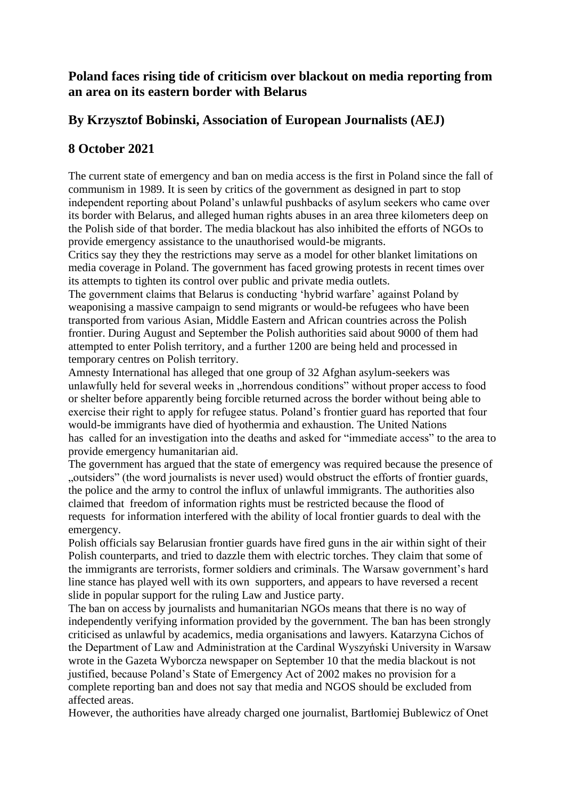## **Poland faces rising tide of criticism over blackout on media reporting from an area on its eastern border with Belarus**

## **By Krzysztof Bobinski, Association of European Journalists (AEJ)**

## **8 October 2021**

The current state of emergency and ban on media access is the first in Poland since the fall of communism in 1989. It is seen by critics of the government as designed in part to stop independent reporting about Poland's unlawful pushbacks of asylum seekers who came over its border with Belarus, and alleged human rights abuses in an area three kilometers deep on the Polish side of that border. The media blackout has also inhibited the efforts of NGOs to provide emergency assistance to the unauthorised would-be migrants.

Critics say they they the restrictions may serve as a model for other blanket limitations on media coverage in Poland. The government has faced growing protests in recent times over its attempts to tighten its control over public and private media outlets.

The government claims that Belarus is conducting 'hybrid warfare' against Poland by weaponising a massive campaign to send migrants or would-be refugees who have been transported from various Asian, Middle Eastern and African countries across the Polish frontier. During August and September the Polish authorities said about 9000 of them had attempted to enter Polish territory, and a further 1200 are being held and processed in temporary centres on Polish territory.

Amnesty International has alleged that one group of 32 Afghan asylum-seekers was unlawfully held for several weeks in "horrendous conditions" without proper access to food or shelter before apparently being forcible returned across the border without being able to exercise their right to apply for refugee status. Poland's frontier guard has reported that four would-be immigrants have died of hyothermia and exhaustion. The United Nations has called for an investigation into the deaths and asked for "immediate access" to the area to provide emergency humanitarian aid.

The government has argued that the state of emergency was required because the presence of "outsiders" (the word journalists is never used) would obstruct the efforts of frontier guards, the police and the army to control the influx of unlawful immigrants. The authorities also claimed that freedom of information rights must be restricted because the flood of requests for information interfered with the ability of local frontier guards to deal with the emergency.

Polish officials say Belarusian frontier guards have fired guns in the air within sight of their Polish counterparts, and tried to dazzle them with electric torches. They claim that some of the immigrants are terrorists, former soldiers and criminals. The Warsaw government's hard line stance has played well with its own supporters, and appears to have reversed a recent slide in popular support for the ruling Law and Justice party.

The ban on access by journalists and humanitarian NGOs means that there is no way of independently verifying information provided by the government. The ban has been strongly criticised as unlawful by academics, media organisations and lawyers. Katarzyna Cichos of the Department of Law and Administration at the Cardinal Wyszyński University in Warsaw wrote in the Gazeta Wyborcza newspaper on September 10 that the media blackout is not justified, because Poland's State of Emergency Act of 2002 makes no provision for a complete reporting ban and does not say that media and NGOS should be excluded from affected areas.

However, the authorities have already charged one journalist, Bartłomiej Bublewicz of Onet